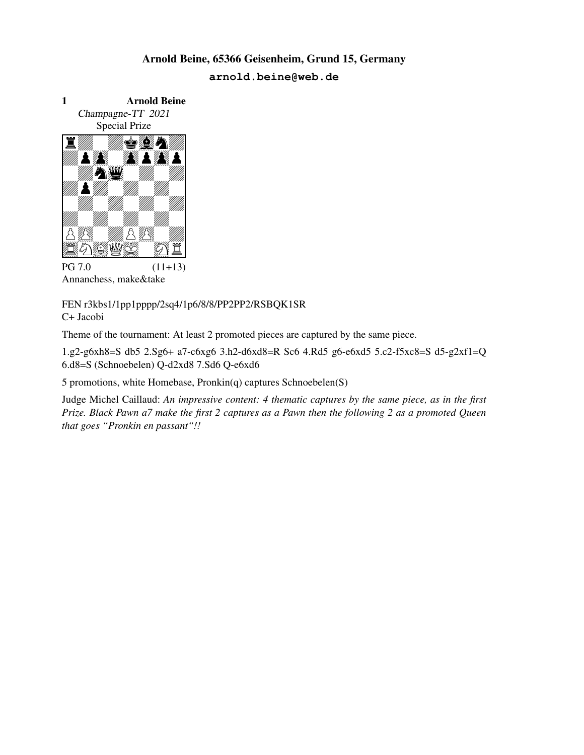

FEN r3kbs1/1pp1pppp/2sq4/1p6/8/8/PP2PP2/RSBQK1SR C+ Jacobi

Theme of the tournament: At least 2 promoted pieces are captured by the same piece.

1.g2-g6xh8=S db5 2.Sg6+ a7-c6xg6 3.h2-d6xd8=R Sc6 4.Rd5 g6-e6xd5 5.c2-f5xc8=S d5-g2xf1=Q 6.d8=S (Schnoebelen) Q-d2xd8 7.Sd6 Q-e6xd6

5 promotions, white Homebase, Pronkin(q) captures Schnoebelen(S)

Judge Michel Caillaud: *An impressive content: 4 thematic captures by the same piece, as in the first Prize. Black Pawn a7 make the first 2 captures as a Pawn then the following 2 as a promoted Queen that goes "Pronkin en passant"!!*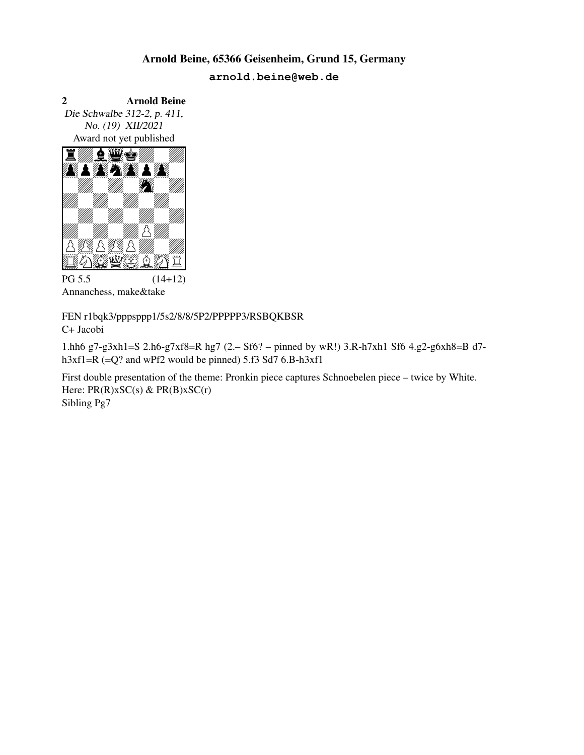2 Arnold Beine Die Schwalbe 312-2, p. 411, No. (19) XII/2021 Award not yet published Arnold B<br>
2 Arnold Beine<br>
Die Schwalbe 312-2, p. 411,<br>
No. (19) XII/2021<br>
Award not yet published<br> **E MARE AND BELLE AND BELLE AND BELLE AND BELLE AND BELLE AND BELLE AND READ BELLE AND READ BELLE AND READ BELLE AND READ B** 



Annanchess, make&take

FEN r1bqk3/pppsppp1/5s2/8/8/5P2/PPPPP3/RSBQKBSR C+ Jacobi

1.hh6 g7-g3xh1=S 2.h6-g7xf8=R hg7 (2.– Sf6? – pinned by wR!) 3.R-h7xh1 Sf6 4.g2-g6xh8=B d7 h3xf1=R (=Q? and wPf2 would be pinned) 5.f3 Sd7 6.B-h3xf1

First double presentation of the theme: Pronkin piece captures Schnoebelen piece – twice by White. Here:  $PR(R)$ xSC(s) &  $PR(B)$ xSC(r) Sibling Pg7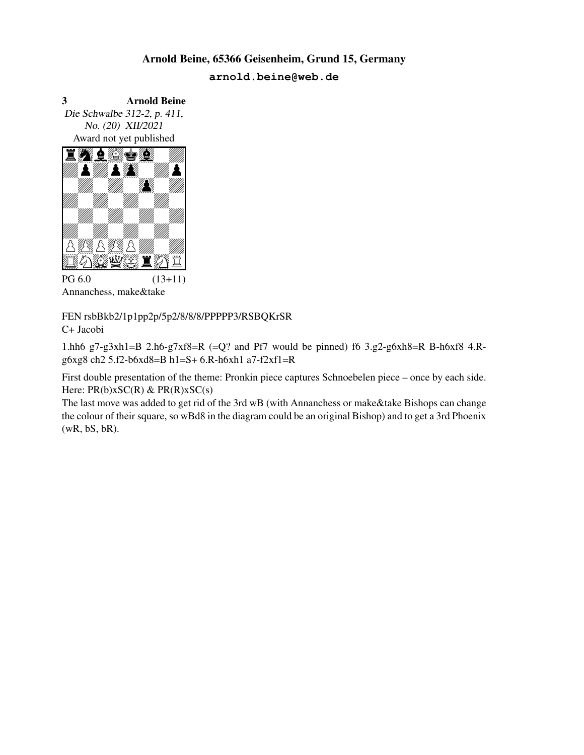3 Arnold Beine Die Schwalbe 312-2, p. 411, No. (20) XII/2021 Award not yet published Arnold B<br>
3<br>
Die Schwalbe 312-2, p. 411,<br>
No. (20) XII/2021<br>
Award not yet published<br>  $\begin{array}{ccc}\n\bullet & \bullet & \bullet \\
\hline\n\bullet & \bullet & \bullet & \bullet\n\end{array}$ 



Annanchess, make&take

FEN rsbBkb2/1p1pp2p/5p2/8/8/8/PPPPP3/RSBQKrSR C+ Jacobi

1.hh6 g7-g3xh1=B 2.h6-g7xf8=R (=Q? and Pf7 would be pinned) f6  $3.g2-g6xh8=R$  B-h6xf8 4.Rg6xg8 ch2 5.f2-b6xd8=B h1=S+ 6.R-h6xh1 a7-f2xf1=R

First double presentation of the theme: Pronkin piece captures Schnoebelen piece – once by each side. Here:  $PR(b)xSC(R)$  &  $PR(R)xSC(s)$ 

The last move was added to get rid of the 3rd wB (with Annanchess or make&take Bishops can change the colour of their square, so wBd8 in the diagram could be an original Bishop) and to get a 3rd Phoenix (wR, bS, bR).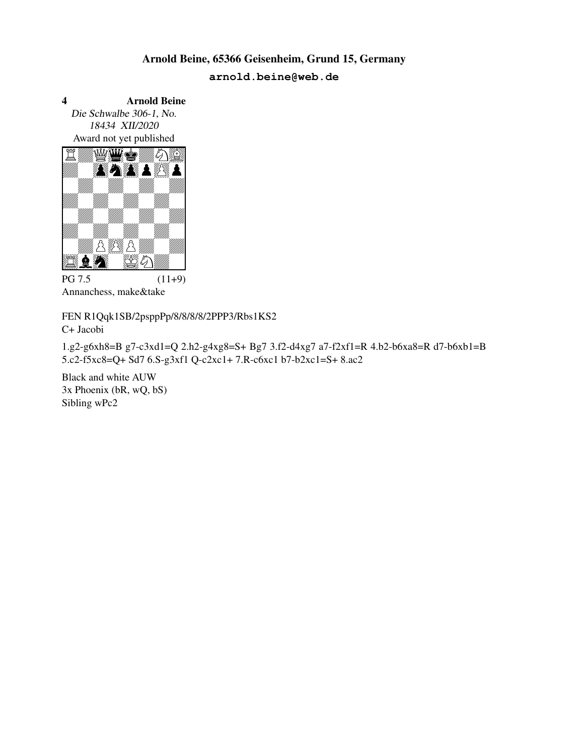4 Arnold Beine Die Schwalbe 306-1, No. 18434 XII/2020 Award not yet published Arnold B<br>
Die Schwalbe 306-1, No.<br>
18434 XII/2020<br>
Award not yet published<br>
The Markovice of the Sandary School School School School School School School School School School School School School School School School Schoo



 $PG 7.5$  (11+9) Annanchess, make&take

FEN R1Qqk1SB/2psppPp/8/8/8/8/2PPP3/Rbs1KS2 C+ Jacobi

1.g2-g6xh8=B g7-c3xd1=Q 2.h2-g4xg8=S+ Bg7 3.f2-d4xg7 a7-f2xf1=R 4.b2-b6xa8=R d7-b6xb1=B 5.c2-f5xc8=Q+ Sd7 6.S-g3xf1 Q-c2xc1+ 7.R-c6xc1 b7-b2xc1=S+ 8.ac2

Black and white AUW 3x Phoenix (bR, wQ, bS) Sibling wPc2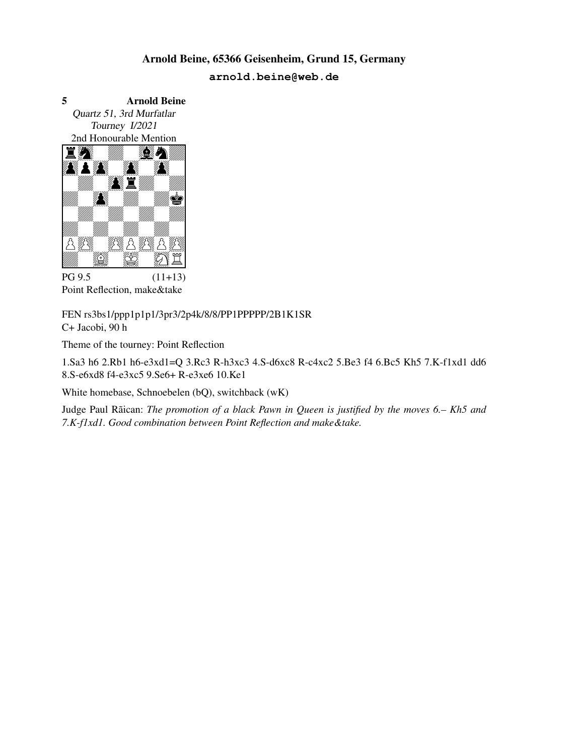5 Arnold Beine Quartz 51, 3rd Murfatlar Tourney I/2021 2nd Honourable Mention Arnold B<br>5<br>2008 Arnold Beine<br>2007 Arnold Beine<br>2008 Municipal Plantion<br>2008 Million<br>2008 Million<br>2008 Million



Point Reflection, make&take

FEN rs3bs1/ppp1p1p1/3pr3/2p4k/8/8/PP1PPPPP/2B1K1SR C+ Jacobi, 90 h

Theme of the tourney: Point Reflection

1.Sa3 h6 2.Rb1 h6-e3xd1=Q 3.Rc3 R-h3xc3 4.S-d6xc8 R-c4xc2 5.Be3 f4 6.Bc5 Kh5 7.K-f1xd1 dd6 8.S-e6xd8 f4-e3xc5 9.Se6+ R-e3xe6 10.Ke1

White homebase, Schnoebelen (bQ), switchback (wK)

Judge Paul Rãican: *The promotion of a black Pawn in Queen is justified by the moves 6.– Kh5 and 7.K-f1xd1. Good combination between Point Reflection and make&take.*